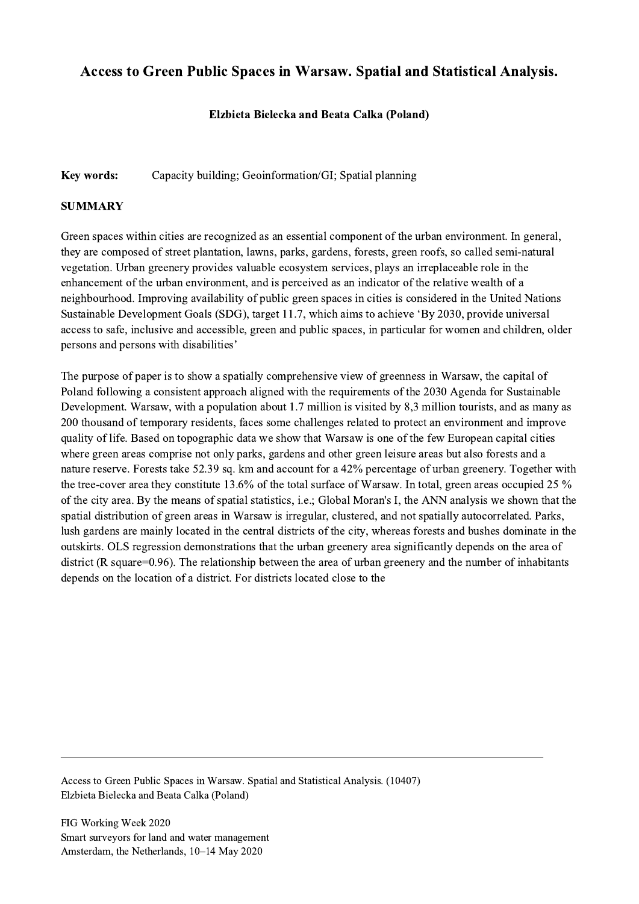## Access to Green Public Spaces in Warsaw. Spatial and Statistical Analysis.

## Elzbieta Bielecka and Beata Calka (Poland)

## Key words: Capacity building; Geoinformation/GI; Spatial planning

## **SUMMARY**

Green spaces within cities are recognized as an essential component of the urban environment. In general, they are composed of street plantation, lawns, parks, gardens, forests, green roofs, so called semi-natural vegetation. Urban greenery provides valuable ecosystem services, plays an irreplaceable role in the enhancement of the urban environment, and is perceived as an indicator of the relative wealth of a neighbourhood. Improving availability of public green spaces in cities is considered in the United Nations Sustainable Development Goals (SDG), target 11.7, which aims to achieve 'By 2030, provide universal access to safe, inclusive and accessible, green and public spaces, in particular for women and children, older persons and persons with disabilities'

The purpose of paper is to show a spatially comprehensive view of greenness in Warsaw, the capital of Poland following a consistent approach aligned with the requirements of the 2030 Agenda for Sustainable Development. Warsaw, with a population about 1.7 million is visited by 8,3 million tourists, and as many as 200 thousand of temporary residents, faces some challenges related to protect an environment and improve quality of life. Based on topographic data we show that Warsaw is one of the few European capital cities where green areas comprise not only parks, gardens and other green leisure areas but also forests and a nature reserve. Forests take 52.39 sq. km and account for a 42% percentage of urban greenery. Together with the tree-cover area they constitute 13.6% of the total surface of Warsaw. In total, green areas occupied 25 % of the city area. By the means of spatial statistics, i.e.; Global Moran's I, the ANN analysis we shown that the spatial distribution of green areas in Warsaw is irregular, clustered, and not spatially autocorrelated. Parks, lush gardens are mainly located in the central districts of the city, whereas forests and bushes dominate in the outskirts. OLS regression demonstrations that the urban greenery area significantly depends on the area of district (R square=0.96). The relationship between the area of urban greenery and the number of inhabitants depends on the location of a district. For districts located close to the

Access to Green Public Spaces in Warsaw. Spatial and Statistical Analysis. (10407) Elzbieta Bielecka and Beata Calka (Poland)

 $\mathcal{L}_\mathcal{L} = \{ \mathcal{L}_\mathcal{L} = \{ \mathcal{L}_\mathcal{L} = \{ \mathcal{L}_\mathcal{L} = \{ \mathcal{L}_\mathcal{L} = \{ \mathcal{L}_\mathcal{L} = \{ \mathcal{L}_\mathcal{L} = \{ \mathcal{L}_\mathcal{L} = \{ \mathcal{L}_\mathcal{L} = \{ \mathcal{L}_\mathcal{L} = \{ \mathcal{L}_\mathcal{L} = \{ \mathcal{L}_\mathcal{L} = \{ \mathcal{L}_\mathcal{L} = \{ \mathcal{L}_\mathcal{L} = \{ \mathcal{L}_\mathcal{$ 

FIG Working Week 2020 Smart surveyors for land and water management Amsterdam, the Netherlands, 10–14 May 2020